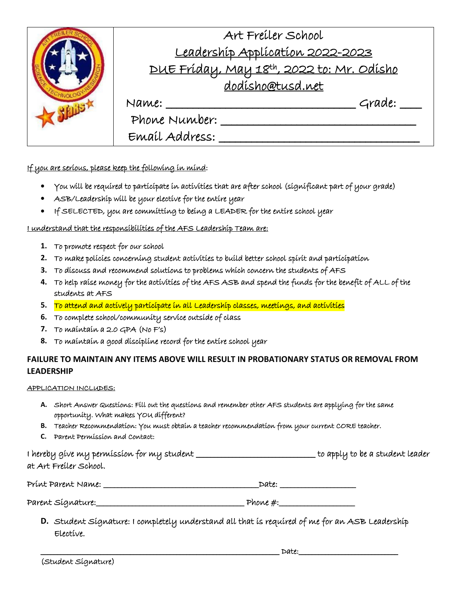|  | Art Freiler School<br>Leadership Application 2022-2023<br>DUE Fríday, May 18th, 2022 to: Mr. Odísho<br>dodisho@tusd.net |        |
|--|-------------------------------------------------------------------------------------------------------------------------|--------|
|  | Name:<br>Phone Number:<br>Email Address:                                                                                | Grade: |

If you are serious, please keep the following in mind:

- You will be required to participate in activities that are after school (significant part of your grade)
- ASB/Leadership will be your elective for the entire year
- If SELECTED, you are committing to being a LEADER for the entire school year

I understand that the responsibilities of the AFS Leadership Team are:

- **1.** To promote respect for our school
- **2.** To make policies concerning student activities to build better school spirit and participation
- **3.** To discuss and recommend solutions to problems which concern the students of AFS
- **4.** To help raise money for the activities of the AFS ASB and spend the funds for the benefit of ALL of the students at AFS
- **5.** To attend and actively participate in all Leadership classes, meetings, and activities
- **6.** To complete school/community service outside of class
- **7.** To maintain a 2.0 GPA (No F's)
- **8.** To maintain a good discipline record for the entire school year

#### **FAILURE TO MAINTAIN ANY ITEMS ABOVE WILL RESULT IN PROBATIONARY STATUS OR REMOVAL FROM LEADERSHIP**

#### APPLICATION INCLUDES:

- **A.** Short Answer Questions: Fill out the questions and remember other AFS students are applying for the same opportunity. What makes YOU different?
- **B.** Teacher Recommendation: You must obtain a teacher recommendation from your current CORE teacher.
- **C.** Parent Permission and Contact:

I hereby give my permission for my student \_\_\_\_\_\_\_\_\_\_\_\_\_\_\_\_\_\_\_\_\_\_\_\_\_\_\_\_\_\_to apply to be a student leader at Art Freiler School.

Print Parent Name: \_\_\_\_\_\_\_\_\_\_\_\_\_\_\_\_\_\_\_\_\_\_\_\_\_\_\_\_\_\_\_\_\_\_\_\_\_\_\_\_\_\_\_Date: \_\_\_\_\_\_\_\_\_\_\_\_\_\_\_\_\_\_\_\_\_

Parent Signature:\_\_\_\_\_\_\_\_\_\_\_\_\_\_\_\_\_\_\_\_\_\_\_\_\_\_\_\_\_\_\_\_\_\_\_\_\_\_\_\_\_ Phone #:\_\_\_\_\_\_\_\_\_\_\_\_\_\_\_\_\_\_\_\_\_

**D.** Student Signature: I completely understand all that is required of me for an ASB Leadership Elective.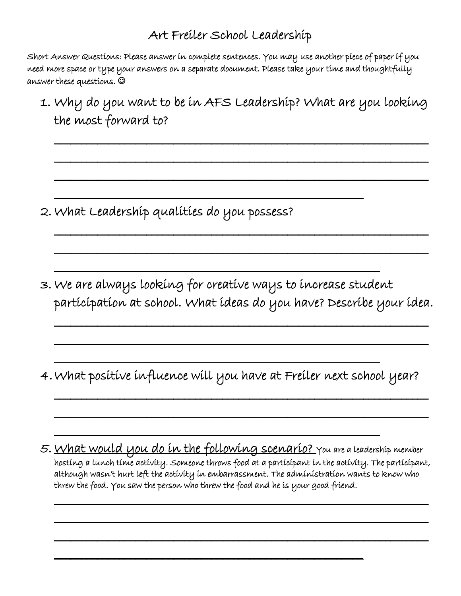### Art Freiler School Leadership

Short Answer Questions: Please answer in complete sentences. You may use another piece of paper if you need more space or type your answers on a separate document. Please take your time and thoughtfully answer these questions.

1. Why do you want to be in AFS Leadership? What are you looking the most forward to?

\_\_\_\_\_\_\_\_\_\_\_\_\_\_\_\_\_\_\_\_\_\_\_\_\_\_\_\_\_\_\_\_\_\_\_\_\_\_\_\_\_\_\_\_\_\_\_\_\_\_\_\_\_\_\_\_\_\_\_\_\_\_\_\_\_\_\_\_\_

\_\_\_\_\_\_\_\_\_\_\_\_\_\_\_\_\_\_\_\_\_\_\_\_\_\_\_\_\_\_\_\_\_\_\_\_\_\_\_\_\_\_\_\_\_\_\_\_\_\_\_\_\_\_\_\_\_\_\_\_\_\_\_\_\_\_\_\_\_

\_\_\_\_\_\_\_\_\_\_\_\_\_\_\_\_\_\_\_\_\_\_\_\_\_\_\_\_\_\_\_\_\_\_\_\_\_\_\_\_\_\_\_\_\_\_\_\_\_\_\_\_\_\_\_\_\_\_\_\_\_\_\_\_\_\_\_\_\_

\_\_\_\_\_\_\_\_\_\_\_\_\_\_\_\_\_\_\_\_\_\_\_\_\_\_\_\_\_\_\_\_\_\_\_\_\_\_\_\_\_\_\_\_\_\_\_\_\_\_\_\_\_\_\_\_\_\_\_\_\_\_\_\_\_\_\_\_\_

\_\_\_\_\_\_\_\_\_\_\_\_\_\_\_\_\_\_\_\_\_\_\_\_\_\_\_\_\_\_\_\_\_\_\_\_\_\_\_\_\_\_\_\_\_\_\_\_\_\_\_\_\_\_\_\_\_\_\_\_\_\_\_\_\_\_\_\_\_

\_\_\_\_\_\_\_\_\_\_\_\_\_\_\_\_\_\_\_\_\_\_\_\_\_\_\_\_\_\_\_\_\_\_\_\_\_\_\_\_\_\_\_\_\_\_\_\_\_\_\_\_\_\_\_\_\_

\_\_\_\_\_\_\_\_\_\_\_\_\_\_\_\_\_\_\_\_\_\_\_\_\_\_\_\_\_\_\_\_\_\_\_\_\_\_\_\_\_\_\_\_\_\_\_\_\_\_\_\_\_\_\_\_\_\_\_\_

2. What Leadership qualities do you possess?

3. We are always looking for creative ways to increase student participation at school. What ideas do you have? Describe your idea.

\_\_\_\_\_\_\_\_\_\_\_\_\_\_\_\_\_\_\_\_\_\_\_\_\_\_\_\_\_\_\_\_\_\_\_\_\_\_\_\_\_\_\_\_\_\_\_\_\_\_\_\_\_\_\_\_\_\_\_\_\_\_\_\_\_\_\_\_\_

\_\_\_\_\_\_\_\_\_\_\_\_\_\_\_\_\_\_\_\_\_\_\_\_\_\_\_\_\_\_\_\_\_\_\_\_\_\_\_\_\_\_\_\_\_\_\_\_\_\_\_\_\_\_\_\_\_\_\_\_\_\_\_\_\_\_\_\_\_

\_\_\_\_\_\_\_\_\_\_\_\_\_\_\_\_\_\_\_\_\_\_\_\_\_\_\_\_\_\_\_\_\_\_\_\_\_\_\_\_\_\_\_\_\_\_\_\_\_\_\_\_\_\_\_\_\_\_\_\_\_\_\_\_\_\_\_\_\_

\_\_\_\_\_\_\_\_\_\_\_\_\_\_\_\_\_\_\_\_\_\_\_\_\_\_\_\_\_\_\_\_\_\_\_\_\_\_\_\_\_\_\_\_\_\_\_\_\_\_\_\_\_\_\_\_\_\_\_\_\_\_\_\_\_\_\_\_\_

4.What positive influence will you have at Freiler next school year?

\_\_\_\_\_\_\_\_\_\_\_\_\_\_\_\_\_\_\_\_\_\_\_\_\_\_\_\_\_\_\_\_\_\_\_\_\_\_\_\_\_\_\_\_\_\_\_\_\_\_\_\_\_\_\_\_\_\_\_\_

 $\overline{\phantom{a}}$ 

 $\mathcal{L}_\text{max}$  and  $\mathcal{L}_\text{max}$  and  $\mathcal{L}_\text{max}$  and  $\mathcal{L}_\text{max}$  and  $\mathcal{L}_\text{max}$ 

5. <u>What would you do in the following scenario?</u> you are a leadership member hosting a lunch time activity. Someone throws food at a participant in the activity. The participant, although wasn't hurt left the activity in embarrassment. The administration wants to know who threw the food. You saw the person who threw the food and he is your good friend.

 $\overline{\phantom{a}}$  , and the component of the component of the component of the component of the component of the component of the component of the component of the component of the component of the component of the component of

 $\mathcal{L}_\text{max}$  and  $\mathcal{L}_\text{max}$  and  $\mathcal{L}_\text{max}$  and  $\mathcal{L}_\text{max}$  and  $\mathcal{L}_\text{max}$  and  $\mathcal{L}_\text{max}$ 

 $\overline{\phantom{a}}$  , and the component of the component of the component of the component of the component of the component of the component of the component of the component of the component of the component of the component of